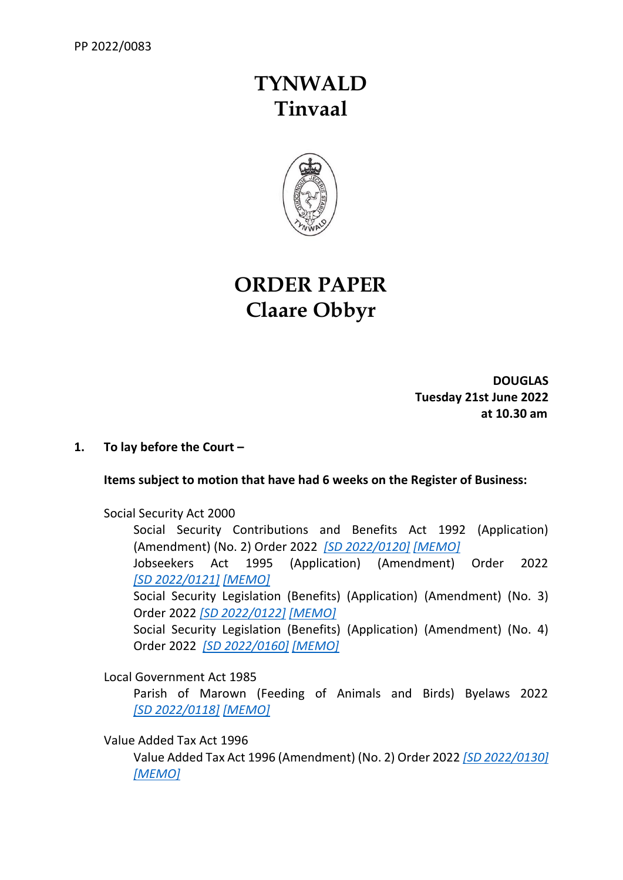# **TYNWALD Tinvaal**



## **ORDER PAPER Claare Obbyr**

**DOUGLAS Tuesday 21st June 2022 at 10.30 am**

## **1. To lay before the Court –**

## **Items subject to motion that have had 6 weeks on the Register of Business:**

Social Security Act 2000

Social Security Contributions and Benefits Act 1992 (Application) (Amendment) (No. 2) Order 2022 *[\[SD 2022/0120\]](https://www.tynwald.org.im/business/opqp/sittings/20212026/2022-SD-0120.pdf) [\[MEMO\]](https://www.tynwald.org.im/business/opqp/sittings/20212026/2022-SD-0120-memo.pdf)* Jobseekers Act 1995 (Application) (Amendment) Order 2022

*[SD [2022/0121\]](https://www.tynwald.org.im/business/opqp/sittings/20212026/2022-SD-0121.pdf) [\[MEMO\]](https://www.tynwald.org.im/business/opqp/sittings/20212026/2022-SD-0121-MEMO.pdf)*

Social Security Legislation (Benefits) (Application) (Amendment) (No. 3) Order 2022 *[\[SD 2022/0122\]](https://www.tynwald.org.im/business/opqp/sittings/20212026/2022-SD-0122.pdf) [\[MEMO\]](https://www.tynwald.org.im/business/opqp/sittings/20212026/2022-SD-0122-MEMO.pdf)*

Social Security Legislation (Benefits) (Application) (Amendment) (No. 4) Order 2022 *[\[SD 2022/0160\]](https://www.tynwald.org.im/business/opqp/sittings/20212026/2022-SD-0160.pdf) [\[MEMO\]](https://www.tynwald.org.im/business/opqp/sittings/20212026/2022-SD-0160-MEMO.pdf)*

Local Government Act 1985

Parish of Marown (Feeding of Animals and Birds) Byelaws 2022 *[SD [2022/0118\]](https://www.tynwald.org.im/business/opqp/sittings/20212026/2022-SD-0118.pdf) [\[MEMO\]](https://www.tynwald.org.im/business/opqp/sittings/20212026/2022-SD-0118-MEMO.pdf)*

Value Added Tax Act 1996

Value Added Tax Act 1996 (Amendment) (No. 2) Order 2022 *[\[SD 2022/0130\]](https://www.tynwald.org.im/business/opqp/sittings/20212026/2022-SD-0130.pdf) [\[MEMO\]](https://www.tynwald.org.im/business/opqp/sittings/20212026/2022-SD-0130-MEMO.pdf)*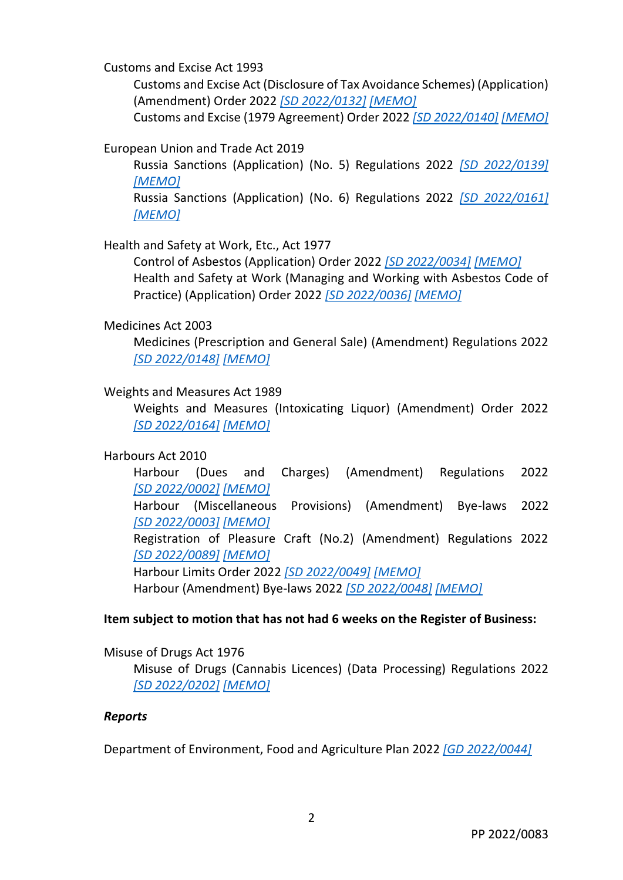Customs and Excise Act 1993

Customs and Excise Act (Disclosure of Tax Avoidance Schemes) (Application) (Amendment) Order 2022 *[\[SD 2022/0132\]](https://www.tynwald.org.im/business/opqp/sittings/20212026/2022-SD-0132.pdf) [\[MEMO\]](https://www.tynwald.org.im/business/opqp/sittings/20212026/2022-SD-0132-MEMO.pdf)*

Customs and Excise (1979 Agreement) Order 2022 *[\[SD 2022/0140\]](https://www.tynwald.org.im/business/opqp/sittings/20212026/2022-SD-0140.pdf) [\[MEMO\]](https://www.tynwald.org.im/business/opqp/sittings/20212026/2022-SD-0140-MEMO.pdf)*

European Union and Trade Act 2019

Russia Sanctions (Application) (No. 5) Regulations 2022 *[\[SD 2022/0139\]](https://www.tynwald.org.im/business/opqp/sittings/20212026/2022-SD-0139.pdf) [\[MEMO\]](https://www.tynwald.org.im/business/opqp/sittings/20212026/2022-SD-0139-MEMO.pdf)*

Russia Sanctions (Application) (No. 6) Regulations 2022 *[\[SD 2022/0161\]](https://www.tynwald.org.im/business/opqp/sittings/20212026/2022-SD-0161.pdf) [\[MEMO\]](https://www.tynwald.org.im/business/opqp/sittings/20212026/2022-SD-0161-MEMO.pdf)*

Health and Safety at Work, Etc., Act 1977

Control of Asbestos (Application) Order 2022 *[\[SD 2022/0034\]](https://www.tynwald.org.im/business/opqp/sittings/20212026/2022-SD-0034.pdf) [\[MEMO\]](https://www.tynwald.org.im/business/opqp/sittings/20212026/2022-SD-0034-MEMO.pdf)* Health and Safety at Work (Managing and Working with Asbestos Code of Practice) (Application) Order 2022 *[\[SD 2022/0036\]](https://www.tynwald.org.im/business/opqp/sittings/20212026/2022-SD-0036.pdf) [\[MEMO\]](https://www.tynwald.org.im/business/opqp/sittings/20212026/2022-SD-0036-MEMO.pdf)*

#### Medicines Act 2003

Medicines (Prescription and General Sale) (Amendment) Regulations 2022 *[\[SD 2022/0148\]](https://www.tynwald.org.im/business/opqp/sittings/20212026/2022-SD-0148.pdf) [\[MEMO\]](https://www.tynwald.org.im/business/opqp/sittings/20212026/2022-SD-0148-MEMO.pdf)*

#### Weights and Measures Act 1989

Weights and Measures (Intoxicating Liquor) (Amendment) Order 2022 *[SD [2022/0164\]](https://www.tynwald.org.im/business/opqp/sittings/20212026/2022-SD-0164.pdf) [\[MEMO\]](https://www.tynwald.org.im/business/opqp/sittings/20212026/2022-SD-0164-MEMO.pdf)*

## Harbours Act 2010

Harbour (Dues and Charges) (Amendment) Regulations 2022 *[SD [2022/0002\]](https://www.tynwald.org.im/business/opqp/sittings/20212026/2022-SD-0002.pdf) [\[MEMO\]](https://www.tynwald.org.im/business/opqp/sittings/20212026/2022-SD-0002-MEMO.pdf)* Harbour (Miscellaneous Provisions) (Amendment) Bye-laws 2022 *[SD [2022/0003\]](https://www.tynwald.org.im/business/opqp/sittings/20212026/2022-SD-0003.pdf) [\[MEMO\]](https://www.tynwald.org.im/business/opqp/sittings/20212026/2022-SD-0003-MEMO.pdf)* Registration of Pleasure Craft (No.2) (Amendment) Regulations 2022 *[SD [2022/0089\]](https://www.tynwald.org.im/business/opqp/sittings/20212026/2022-SD-0089.pdf) [\[MEMO\]](https://www.tynwald.org.im/business/opqp/sittings/20212026/2022-SD-0089-MEMO.pdf)* Harbour Limits Order 2022 *[\[SD 2022/0049\]](https://www.tynwald.org.im/business/opqp/sittings/20212026/2022-SD-0049.pdf) [\[MEMO\]](https://www.tynwald.org.im/business/opqp/sittings/20212026/2022-SD-0049-MEMO.pdf)* Harbour (Amendment) Bye-laws 2022 *[\[SD 2022/0048\]](https://www.tynwald.org.im/business/opqp/sittings/20212026/2022-SD-0048.pdf) [\[MEMO\]](https://www.tynwald.org.im/business/opqp/sittings/20212026/2022-SD-0048-MEMO.pdf)*

## **Item subject to motion that has not had 6 weeks on the Register of Business:**

Misuse of Drugs Act 1976

Misuse of Drugs (Cannabis Licences) (Data Processing) Regulations 2022 *[SD [2022/0202\]](https://www.tynwald.org.im/business/opqp/sittings/20212026/2022-SD-0202.pdf) [\[MEMO\]](https://www.tynwald.org.im/business/opqp/sittings/20212026/2022-SD-0202-MEMO.pdf)*

#### *Reports*

Department of Environment, Food and Agriculture Plan 2022 *[GD [2022/0044\]](https://www.tynwald.org.im/business/opqp/sittings/20212026/2022-GD-0044.pdf)*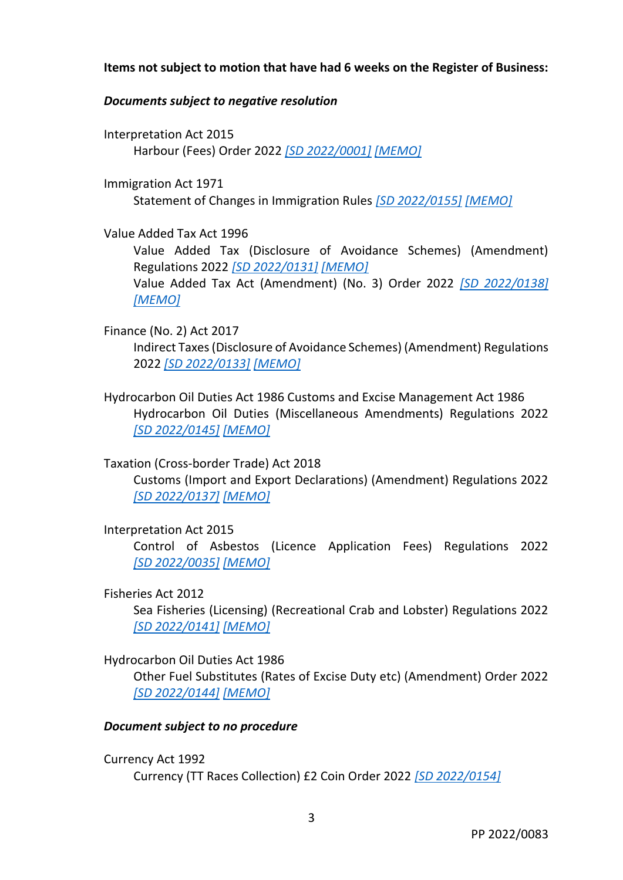## **Items not subject to motion that have had 6 weeks on the Register of Business:**

## *Documents subject to negative resolution*

Interpretation Act 2015 Harbour (Fees) Order 2022 *[\[SD 2022/0001\]](https://www.tynwald.org.im/business/opqp/sittings/20212026/2022-SD-0001.pdf) [\[MEMO\]](https://www.tynwald.org.im/business/opqp/sittings/20212026/2022-SD-0001-MEMO.pdf)*

Immigration Act 1971 Statement of Changes in Immigration Rules *[\[SD 2022/0155\]](https://www.tynwald.org.im/business/opqp/sittings/20212026/2022-SD-0155.pdf) [\[MEMO\]](https://www.tynwald.org.im/business/opqp/sittings/20212026/2022-SD-0155-memo.pdf)*

Value Added Tax Act 1996

Value Added Tax (Disclosure of Avoidance Schemes) (Amendment) Regulations 2022 *[\[SD 2022/0131\]](https://www.tynwald.org.im/business/opqp/sittings/20212026/2022-SD-0131.pdf) [\[MEMO\]](https://www.tynwald.org.im/business/opqp/sittings/20212026/2022-SD-0131-memo.pdf)* Value Added Tax Act (Amendment) (No. 3) Order 2022 *[\[SD 2022/0138\]](https://www.tynwald.org.im/business/opqp/sittings/20212026/2022-SD-0138.pdf) [\[MEMO\]](https://www.tynwald.org.im/business/opqp/sittings/20212026/2022-SD-0138-memo.pdf)*

- Finance (No. 2) Act 2017 Indirect Taxes (Disclosure of Avoidance Schemes) (Amendment) Regulations 2022 *[\[SD 2022/0133\]](https://www.tynwald.org.im/business/opqp/sittings/20212026/2022-SD-0133.pdf) [\[MEMO\]](https://www.tynwald.org.im/business/opqp/sittings/20212026/2022-SD-0133-memo.pdf)*
- Hydrocarbon Oil Duties Act 1986 Customs and Excise Management Act 1986 Hydrocarbon Oil Duties (Miscellaneous Amendments) Regulations 2022 *[SD [2022/0145\]](https://www.tynwald.org.im/business/opqp/sittings/20212026/2022-SD-0145.pdf) [\[MEMO\]](https://www.tynwald.org.im/business/opqp/sittings/20212026/2022-SD-0145-memo.pdf)*

Taxation (Cross-border Trade) Act 2018

Customs (Import and Export Declarations) (Amendment) Regulations 2022 *[\[SD 2022/0137\]](https://www.tynwald.org.im/business/opqp/sittings/20212026/2022-SD-0137.pdf) [\[MEMO\]](https://www.tynwald.org.im/business/opqp/sittings/20212026/2022-SD-0137-memo.pdf)*

Interpretation Act 2015

Control of Asbestos (Licence Application Fees) Regulations 2022 *[SD [2022/0035\]](https://www.tynwald.org.im/business/opqp/sittings/20212026/2022-SD-0035.pdf) [\[MEMO\]](https://www.tynwald.org.im/business/opqp/sittings/20212026/2022-SD-0035-memo.pdf)*

Fisheries Act 2012

Sea Fisheries (Licensing) (Recreational Crab and Lobster) Regulations 2022 *[\[SD 2022/0141\]](https://www.tynwald.org.im/business/opqp/sittings/20212026/2022-SD-0141.pdf) [MEMO]*

## Hydrocarbon Oil Duties Act 1986

Other Fuel Substitutes (Rates of Excise Duty etc) (Amendment) Order 2022 *[\[SD 2022/0144\]](https://www.tynwald.org.im/business/opqp/sittings/20212026/2022-SD-0144.pdf) [\[MEMO\]](https://www.tynwald.org.im/business/opqp/sittings/20212026/2022-SD-0144-memo.pdf)*

## *Document subject to no procedure*

Currency Act 1992

Currency (TT Races Collection) £2 Coin Order 2022 *[\[SD 2022/0154\]](https://www.tynwald.org.im/business/opqp/sittings/20212026/2022-SD-0154.pdf)*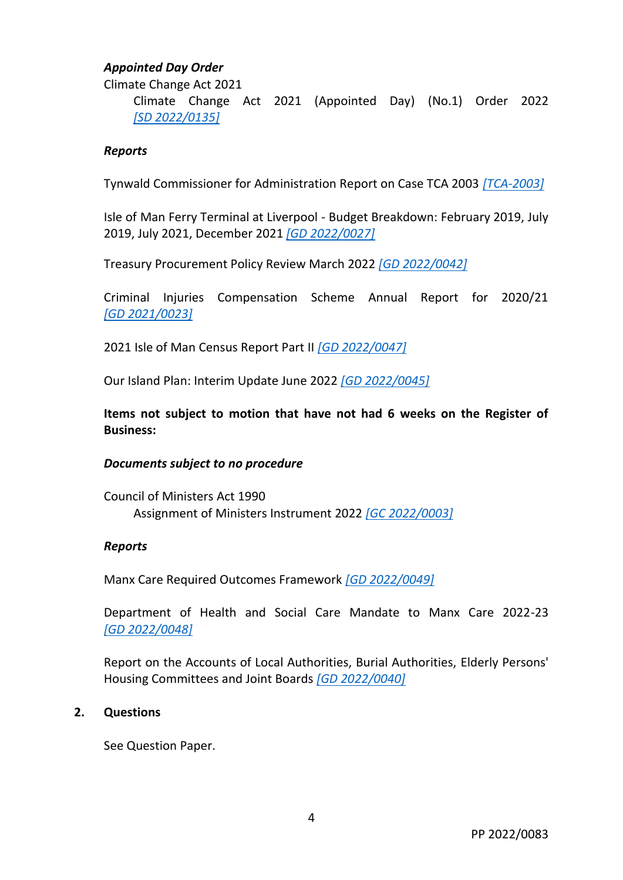## *Appointed Day Order*

Climate Change Act 2021

Climate Change Act 2021 (Appointed Day) (No.1) Order 2022 *[SD [2022/0135\]](https://www.tynwald.org.im/business/opqp/sittings/20212026/2022-SD-0135.pdf)*

#### *Reports*

Tynwald Commissioner for Administration Report on Case TCA 2003 *[\[TCA-2003\]](https://www.tynwald.org.im/business/opqp/sittings/20212026/TCA_2003_Report_Final.pdf)*

Isle of Man Ferry Terminal at Liverpool - Budget Breakdown: February 2019, July 2019, July 2021, December 2021 *[\[GD 2022/0027\]](https://www.tynwald.org.im/business/opqp/sittings/20212026/2022-GD-0027.pdf)*

Treasury Procurement Policy Review March 2022 *[\[GD 2022/0042\]](https://www.tynwald.org.im/business/opqp/sittings/20212026/2022-GD-0042.pdf)*

Criminal Injuries Compensation Scheme Annual Report for 2020/21 *[GD [2021/0023\]](https://www.tynwald.org.im/business/opqp/sittings/20212026/2021-GD-0023.pdf)*

2021 Isle of Man Census Report Part II *[\[GD 2022/0047\]](https://www.tynwald.org.im/business/opqp/sittings/20212026/2022-GD-0047.pdf)*

Our Island Plan: Interim Update June 2022 *[\[GD 2022/0045\]](https://www.tynwald.org.im/business/opqp/sittings/20212026/2022-GD-0045.pdf)*

**Items not subject to motion that have not had 6 weeks on the Register of Business:**

#### *Documents subject to no procedure*

Council of Ministers Act 1990 Assignment of Ministers Instrument 2022 *[\[GC 2022/0003\]](https://www.tynwald.org.im/business/opqp/sittings/20212026/2022-GC-0003.pdf)*

#### *Reports*

Manx Care Required Outcomes Framework *[\[GD 2022/0049\]](https://www.tynwald.org.im/business/opqp/sittings/20212026/2022-GD-0049.pdf)*

Department of Health and Social Care Mandate to Manx Care 2022-23 *[GD [2022/0048\]](https://www.tynwald.org.im/business/opqp/sittings/20212026/2022-GD-0048.pdf)*

Report on the Accounts of Local Authorities, Burial Authorities, Elderly Persons' Housing Committees and Joint Boards *[\[GD 2022/0040\]](https://www.tynwald.org.im/business/opqp/sittings/20212026/2022-GD-0040.pdf)*

## **2. Questions**

See Question Paper.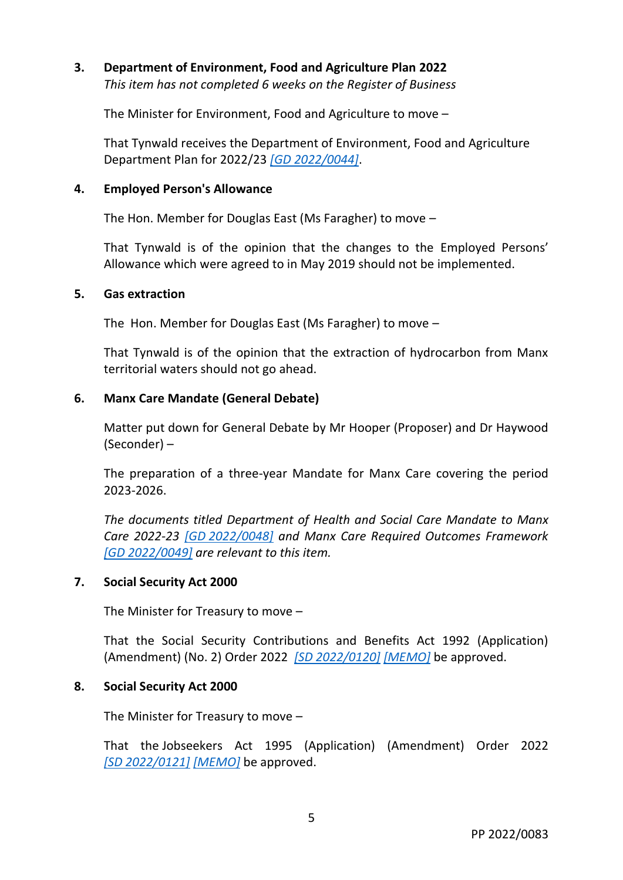## **3. Department of Environment, Food and Agriculture Plan 2022** *This item has not completed 6 weeks on the Register of Business*

The Minister for Environment, Food and Agriculture to move –

That Tynwald receives the Department of Environment, Food and Agriculture Department Plan for 2022/23 *[GD [2022/0044\]](https://www.tynwald.org.im/business/opqp/sittings/20212026/2022-GD-0044.pdf)*.

#### **4. Employed Person's Allowance**

The Hon. Member for Douglas East (Ms Faragher) to move –

That Tynwald is of the opinion that the changes to the Employed Persons' Allowance which were agreed to in May 2019 should not be implemented.

#### **5. Gas extraction**

The Hon. Member for Douglas East (Ms Faragher) to move –

That Tynwald is of the opinion that the extraction of hydrocarbon from Manx territorial waters should not go ahead.

#### **6. Manx Care Mandate (General Debate)**

Matter put down for General Debate by Mr Hooper (Proposer) and Dr Haywood (Seconder) –

The preparation of a three-year Mandate for Manx Care covering the period 2023-2026.

*The documents titled Department of Health and Social Care Mandate to Manx Care 2022-23 [GD [2022/0048\]](https://www.tynwald.org.im/business/opqp/sittings/20212026/2022-GD-0048.pdf) and Manx Care Required Outcomes Framework [\[GD 2022/0049\]](https://www.tynwald.org.im/business/opqp/sittings/20212026/2022-GD-0049.pdf) are relevant to this item.*

#### **7. Social Security Act 2000**

The Minister for Treasury to move –

That the Social Security Contributions and Benefits Act 1992 (Application) (Amendment) (No. 2) Order 2022 *[\[SD 2022/0120\]](https://www.tynwald.org.im/business/opqp/sittings/20212026/2022-SD-0120.pdf) [\[MEMO\]](https://www.tynwald.org.im/business/opqp/sittings/20212026/2022-SD-0120-memo.pdf)* be approved.

#### **8. Social Security Act 2000**

The Minister for Treasury to move –

That the Jobseekers Act 1995 (Application) (Amendment) Order 2022 *[SD [2022/0121\]](https://www.tynwald.org.im/business/opqp/sittings/20212026/2022-SD-0121.pdf) [\[MEMO\]](https://www.tynwald.org.im/business/opqp/sittings/20212026/2022-SD-0121-MEMO.pdf)* be approved.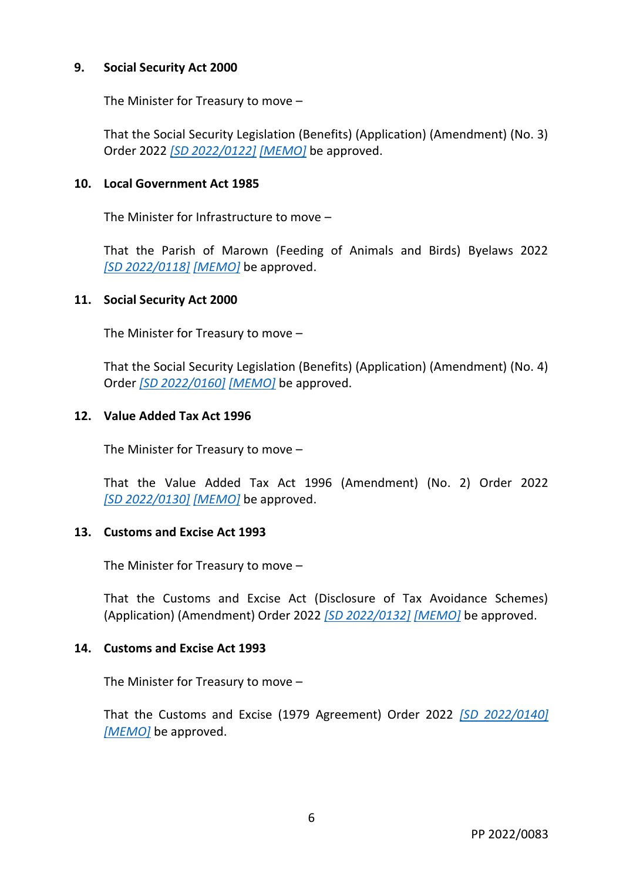## **9. Social Security Act 2000**

The Minister for Treasury to move –

That the Social Security Legislation (Benefits) (Application) (Amendment) (No. 3) Order 2022 *[\[SD 2022/0122\]](https://www.tynwald.org.im/business/opqp/sittings/20212026/2022-SD-0122.pdf) [\[MEMO\]](https://www.tynwald.org.im/business/opqp/sittings/20212026/2022-SD-0122-MEMO.pdf)* be approved.

## **10. Local Government Act 1985**

The Minister for Infrastructure to move –

That the Parish of Marown (Feeding of Animals and Birds) Byelaws 2022 *[SD [2022/0118\]](https://www.tynwald.org.im/business/opqp/sittings/20212026/2022-SD-0118.pdf) [\[MEMO\]](https://www.tynwald.org.im/business/opqp/sittings/20212026/2022-SD-0118-MEMO.pdf)* be approved.

## **11. Social Security Act 2000**

The Minister for Treasury to move –

That the Social Security Legislation (Benefits) (Application) (Amendment) (No. 4) Order *[\[SD 2022/0160\]](https://www.tynwald.org.im/business/opqp/sittings/20212026/2022-SD-0160.pdf) [\[MEMO\]](https://www.tynwald.org.im/business/opqp/sittings/20212026/2022-SD-0160-MEMO.pdf)* be approved.

## **12. Value Added Tax Act 1996**

The Minister for Treasury to move –

That the Value Added Tax Act 1996 (Amendment) (No. 2) Order 2022 *[SD [2022/0130\]](https://www.tynwald.org.im/business/opqp/sittings/20212026/2022-SD-0130.pdf) [\[MEMO\]](https://www.tynwald.org.im/business/opqp/sittings/20212026/2022-SD-0130-MEMO.pdf)* be approved.

## **13. Customs and Excise Act 1993**

The Minister for Treasury to move –

That the Customs and Excise Act (Disclosure of Tax Avoidance Schemes) (Application) (Amendment) Order 2022 *[\[SD 2022/0132\]](https://www.tynwald.org.im/business/opqp/sittings/20212026/2022-SD-0132.pdf) [\[MEMO\]](https://www.tynwald.org.im/business/opqp/sittings/20212026/2022-SD-0132-MEMO.pdf)* be approved.

## **14. Customs and Excise Act 1993**

The Minister for Treasury to move –

That the Customs and Excise (1979 Agreement) Order 2022 *[\[SD 2022/0140\]](https://www.tynwald.org.im/business/opqp/sittings/20212026/2022-SD-0140.pdf) [\[MEMO\]](https://www.tynwald.org.im/business/opqp/sittings/20212026/2022-SD-0140-MEMO.pdf)* be approved.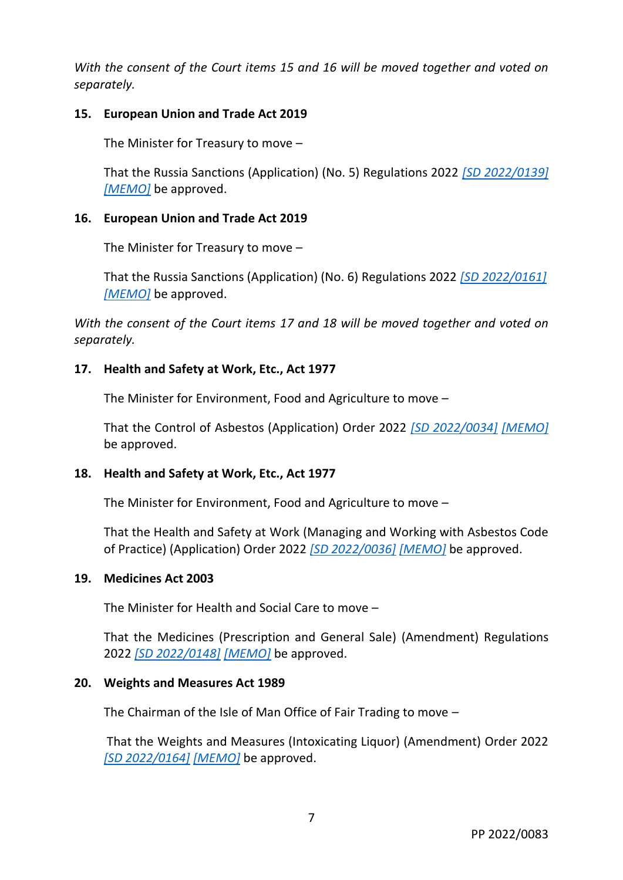*With the consent of the Court items 15 and 16 will be moved together and voted on separately.*

## **15. European Union and Trade Act 2019**

The Minister for Treasury to move –

That the Russia Sanctions (Application) (No. 5) Regulations 2022 *[\[SD 2022/0139\]](https://www.tynwald.org.im/business/opqp/sittings/20212026/2022-SD-0139.pdf) [\[MEMO\]](https://www.tynwald.org.im/business/opqp/sittings/20212026/2022-SD-0139-MEMO.pdf)* be approved.

## **16. European Union and Trade Act 2019**

The Minister for Treasury to move –

That the Russia Sanctions (Application) (No. 6) Regulations 2022 *[\[SD 2022/0161\]](https://www.tynwald.org.im/business/opqp/sittings/20212026/2022-SD-0161.pdf) [\[MEMO\]](https://www.tynwald.org.im/business/opqp/sittings/20212026/2022-SD-0161-MEMO.pdf)* be approved.

*With the consent of the Court items 17 and 18 will be moved together and voted on separately.*

## **17. Health and Safety at Work, Etc., Act 1977**

The Minister for Environment, Food and Agriculture to move –

That the Control of Asbestos (Application) Order 2022 *[\[SD 2022/0034\]](https://www.tynwald.org.im/business/opqp/sittings/20212026/2022-SD-0034.pdf) [\[MEMO\]](https://www.tynwald.org.im/business/opqp/sittings/20212026/2022-SD-0034-MEMO.pdf)* be approved.

## **18. Health and Safety at Work, Etc., Act 1977**

The Minister for Environment, Food and Agriculture to move –

That the Health and Safety at Work (Managing and Working with Asbestos Code of Practice) (Application) Order 2022 *[\[SD 2022/0036\]](https://www.tynwald.org.im/business/opqp/sittings/20212026/2022-SD-0036.pdf) [\[MEMO\]](https://www.tynwald.org.im/business/opqp/sittings/20212026/2022-SD-0036-MEMO.pdf)* be approved.

## **19. Medicines Act 2003**

The Minister for Health and Social Care to move –

That the Medicines (Prescription and General Sale) (Amendment) Regulations 2022 *[\[SD 2022/0148\]](https://www.tynwald.org.im/business/opqp/sittings/20212026/2022-SD-0148.pdf) [\[MEMO\]](https://www.tynwald.org.im/business/opqp/sittings/20212026/2022-SD-0148-MEMO.pdf)* be approved.

## **20. Weights and Measures Act 1989**

The Chairman of the Isle of Man Office of Fair Trading to move –

That the Weights and Measures (Intoxicating Liquor) (Amendment) Order 2022 *[SD [2022/0164\]](https://www.tynwald.org.im/business/opqp/sittings/20212026/2022-SD-0164.pdf) [\[MEMO\]](https://www.tynwald.org.im/business/opqp/sittings/20212026/2022-SD-0164-MEMO.pdf)* be approved.